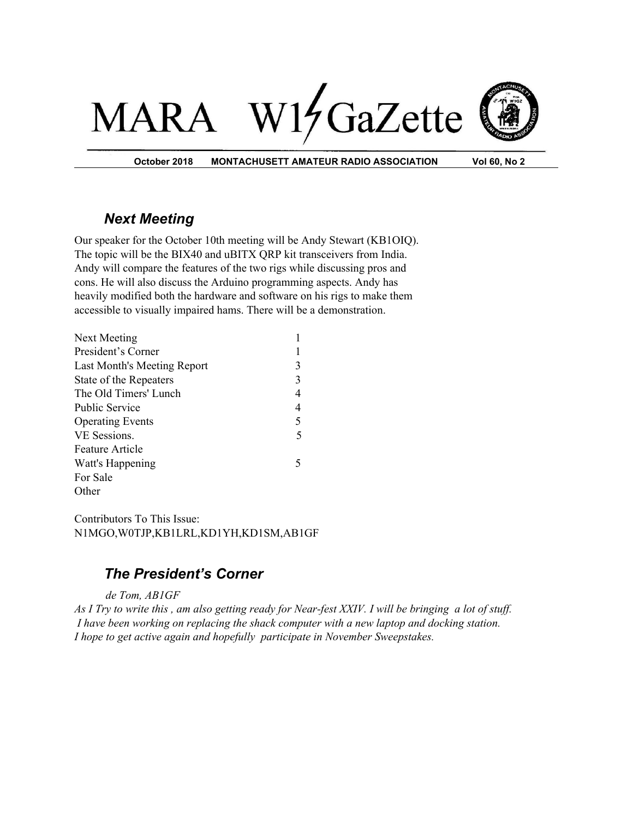# W17GaZette MAI RA



**October 2018 MONTACHUSETT AMATEUR RADIO ASSOCIATION Vol 60, No 2**

## *Next Meeting*

Our speaker for the October 10th meeting will be Andy Stewart (KB1OIQ). The topic will be the BIX40 and uBITX QRP kit transceivers from India. Andy will compare the features of the two rigs while discussing pros and cons. He will also discuss the Arduino programming aspects. Andy has heavily modified both the hardware and software on his rigs to make them accessible to visually impaired hams. There will be a demonstration.

| Next Meeting                |   |
|-----------------------------|---|
| President's Corner          |   |
| Last Month's Meeting Report | 3 |
| State of the Repeaters      | 3 |
| The Old Timers' Lunch       | 4 |
| <b>Public Service</b>       | 4 |
| <b>Operating Events</b>     | 5 |
| VE Sessions.                | 5 |
| <b>Feature Article</b>      |   |
| Watt's Happening            |   |
| For Sale                    |   |
| Other                       |   |

Contributors To This Issue: N1MGO,W0TJP,KB1LRL,KD1YH,KD1SM,AB1GF

## *The President's Corner*

#### *de Tom, AB1GF*

As I Try to write this, am also getting ready for Near-fest XXIV. I will be bringing a lot of stuff. *I have been working on replacing the shack computer with a new laptop and docking station. I hope to get active again and hopefully participate in November Sweepstakes.*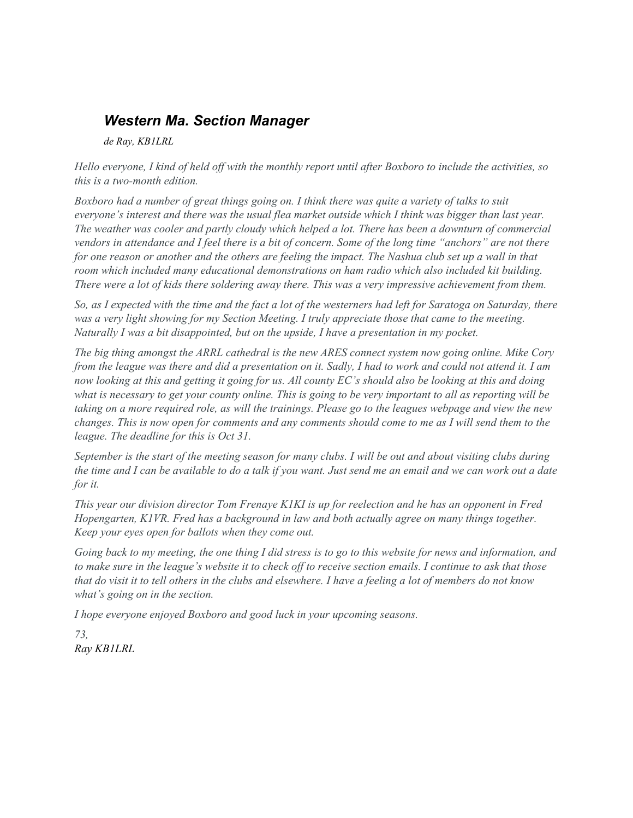## *Western Ma. Section Manager*

*de Ray, KB1LRL*

Hello everyone, I kind of held off with the monthly report until after Boxboro to include the activities, so *this is a two-month edition.*

Boxboro had a number of great things going on. I think there was quite a variety of talks to suit everyone's interest and there was the usual flea market outside which I think was bigger than last year. The weather was cooler and partly cloudy which helped a lot. There has been a downturn of commercial vendors in attendance and I feel there is a bit of concern. Some of the long time "anchors" are not there for one reason or another and the others are feeling the impact. The Nashua club set up a wall in that *room which included many educational demonstrations on ham radio which also included kit building.* There were a lot of kids there soldering away there. This was a very impressive achievement from them.

So, as I expected with the time and the fact a lot of the westerners had left for Saratoga on Saturday, there was a very light showing for my Section Meeting. I truly appreciate those that came to the meeting. *Naturally I was a bit disappointed, but on the upside, I have a presentation in my pocket.*

The big thing amongst the ARRL cathedral is the new ARES connect system now going online. Mike Cory from the league was there and did a presentation on it. Sadly, I had to work and could not attend it. I am now looking at this and getting it going for us. All county EC's should also be looking at this and doing what is necessary to get your county online. This is going to be very important to all as reporting will be taking on a more required role, as will the trainings. Please go to the leagues webpage and view the new changes. This is now open for comments and any comments should come to me as I will send them to the *league. The deadline for this is Oct 31.*

September is the start of the meeting season for many clubs. I will be out and about visiting clubs during the time and I can be available to do a talk if you want. Just send me an email and we can work out a date *for it.*

This year our division director Tom Frenaye K1KI is up for reelection and he has an opponent in Fred *Hopengarten, K1VR. Fred has a background in law and both actually agree on many things together. Keep your eyes open for ballots when they come out.*

Going back to my meeting, the one thing I did stress is to go to this website for news and information, and to make sure in the league's website it to check off to receive section emails. I continue to ask that those that do visit it to tell others in the clubs and elsewhere. I have a feeling a lot of members do not know *what's going on in the section.*

*I hope everyone enjoyed Boxboro and good luck in your upcoming seasons.*

*73, Ray KB1LRL*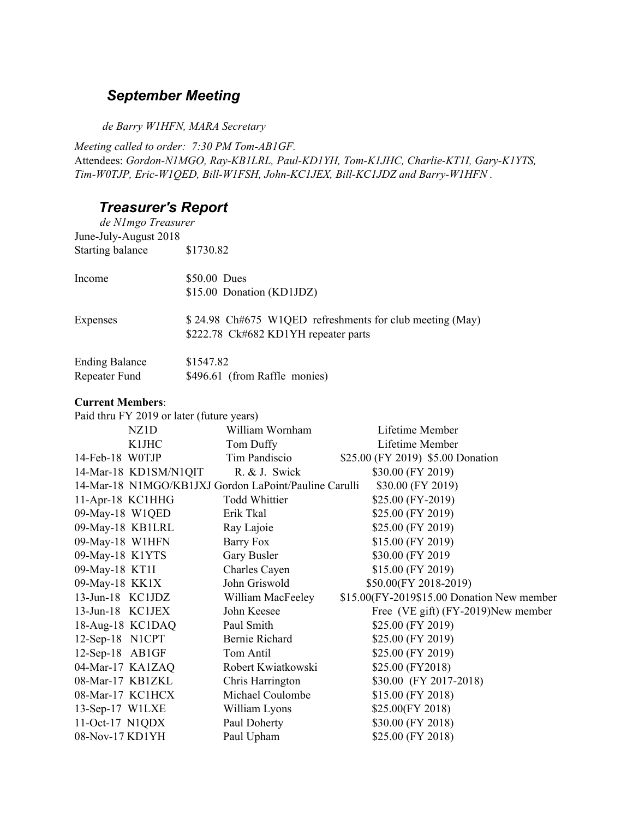## *September Meeting*

*d e Barry W1HFN, MARA Secretary*

*Meeting called to order: 7:30 PM Tom-AB1GF.* Attendees: *Gordon-N1MGO, Ray-KB1LRL, Paul-KD1YH, Tom-K1JHC, Charlie-KT1I, Gary-K1YTS, Tim-W0TJP, Eric-W1QED, Bill-W1FSH, John-KC1JEX, Bill-KC1JDZ and Barry-W1HFN .*

## *Treasurer's Report*

*de N1mgo Treasurer* June-July-August 2018 Starting balance \$1730.82

| Income          | $$50.00$ Dues<br>\$15.00 Donation (KD1JDZ)                                                        |
|-----------------|---------------------------------------------------------------------------------------------------|
| <b>Expenses</b> | $$24.98$ Ch#675 W1QED refreshments for club meeting (May)<br>\$222.78 Ck#682 KD1YH repeater parts |

| <b>Ending Balance</b> | \$1547.82                     |
|-----------------------|-------------------------------|
| Repeater Fund         | \$496.61 (from Raffle monies) |

#### **Current Members**:

| Paid thru FY 2019 or later (future years)             |                      |                                            |  |  |
|-------------------------------------------------------|----------------------|--------------------------------------------|--|--|
| NZ1D                                                  | William Wornham      | Lifetime Member                            |  |  |
| K1JHC                                                 | Tom Duffy            | Lifetime Member                            |  |  |
| 14-Feb-18 WOTJP                                       | Tim Pandiscio        | \$25.00 (FY 2019) \$5.00 Donation          |  |  |
| 14-Mar-18 KD1SM/N1QIT                                 | R. & J. Swick        | \$30.00 (FY 2019)                          |  |  |
| 14-Mar-18 N1MGO/KB1JXJ Gordon LaPoint/Pauline Carulli |                      | \$30.00 (FY 2019)                          |  |  |
| 11-Apr-18 KC1HHG                                      | <b>Todd Whittier</b> | \$25.00 (FY-2019)                          |  |  |
| 09-May-18 W1QED                                       | Erik Tkal            | \$25.00 (FY 2019)                          |  |  |
| 09-May-18 KB1LRL                                      | Ray Lajoie           | \$25.00 (FY 2019)                          |  |  |
| 09-May-18 W1HFN                                       | Barry Fox            | \$15.00 (FY 2019)                          |  |  |
| 09-May-18 K1YTS                                       | Gary Busler          | \$30.00 (FY 2019)                          |  |  |
| 09-May-18 KT1I                                        | Charles Cayen        | \$15.00 (FY 2019)                          |  |  |
| 09-May-18 KK1X                                        | John Griswold        | \$50.00(FY 2018-2019)                      |  |  |
| 13-Jun-18 KC1JDZ                                      | William MacFeeley    | \$15.00(FY-2019\$15.00 Donation New member |  |  |
| 13-Jun-18 KC1JEX                                      | John Keesee          | Free (VE gift) (FY-2019)New member         |  |  |
| 18-Aug-18 KC1DAQ                                      | Paul Smith           | \$25.00 (FY 2019)                          |  |  |
| 12-Sep-18 N1CPT                                       | Bernie Richard       | \$25.00 (FY 2019)                          |  |  |
| 12-Sep-18 AB1GF                                       | Tom Antil            | \$25.00 (FY 2019)                          |  |  |
| 04-Mar-17 KA1ZAQ                                      | Robert Kwiatkowski   | \$25.00 (FY2018)                           |  |  |
| 08-Mar-17 KB1ZKL                                      | Chris Harrington     | \$30.00 (FY 2017-2018)                     |  |  |
| 08-Mar-17 KC1HCX                                      | Michael Coulombe     | \$15.00 (FY 2018)                          |  |  |
| 13-Sep-17 W1LXE                                       | William Lyons        | \$25.00(FY 2018)                           |  |  |
| $11-Oct-17$ N1QDX                                     | Paul Doherty         | \$30.00 (FY 2018)                          |  |  |
| 08-Nov-17 KD1YH                                       | Paul Upham           | \$25.00 (FY 2018)                          |  |  |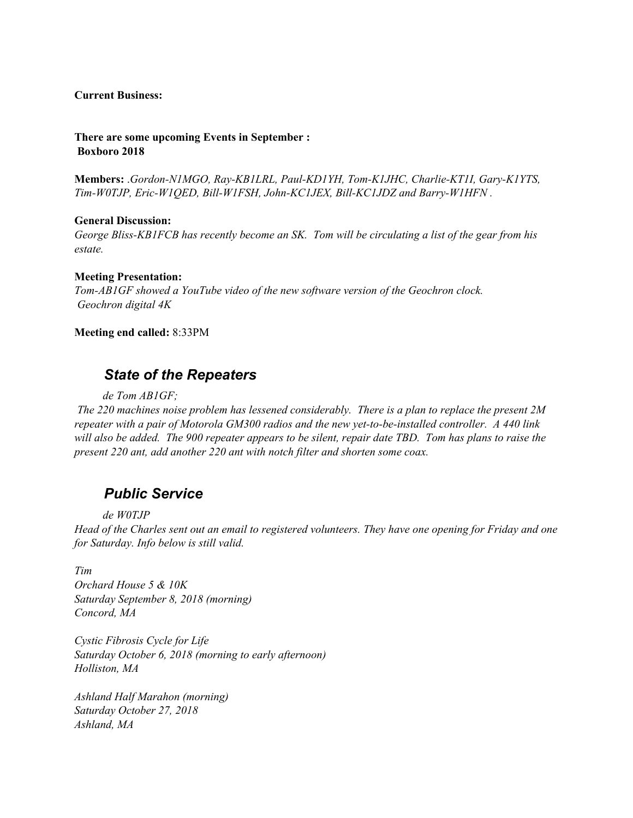#### **Current Business:**

**There are some upcoming Events in September : Boxboro 2018**

**Members:** .*Gordon-N1MGO, Ray-KB1LRL, Paul-KD1YH, Tom-K1JHC, Charlie-KT1I, Gary-K1YTS, Tim-W0TJP, Eric-W1QED, Bill-W1FSH, John-KC1JEX, Bill-KC1JDZ and Barry-W1HFN .*

#### **General Discussion:**

*George Bliss-KB1FCB has recently become an SK. Tom will be circulating a list of the gear from his estate.*

#### **Meeting Presentation:**

*Tom-AB1GF showed a YouTube video of the new software version of the Geochron clock. Geochron digital 4K*

**Meeting end called:** 8:33PM

### *State of the Repeaters*

*de Tom AB1GF;*

*The 220 machines noise problem has lessened considerably. There is a plan to replace the present 2M repeater with a pair of Motorola GM300 radios and the new yet-to-be-installed controller. A 440 link* will also be added. The 900 repeater appears to be silent, repair date TBD. Tom has plans to raise the *present 220 ant, add another 220 ant with notch filter and shorten some coax.*

#### *Public Service*

*de W0TJP*

Head of the Charles sent out an email to registered volunteers. They have one opening for Friday and one *for Saturday. Info below is still valid.*

*Tim*

*Orchard House 5 & 10K Saturday September 8, 2018 (morning) Concord, MA*

*Cystic Fibrosis Cycle for Life Saturday October 6, 2018 (morning to early afternoon) Holliston, MA*

*Ashland Half Marahon (morning) Saturday October 27, 2018 Ashland, MA*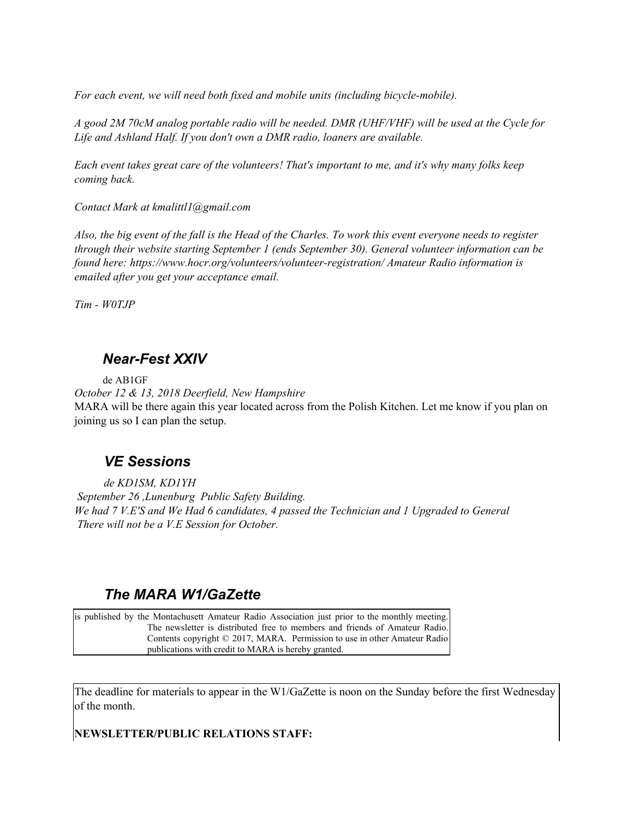*For each event, we will need both fixed and mobile units (including bicycle-mobile).*

A good 2M 70cM analog portable radio will be needed. DMR (UHF/VHF) will be used at the Cycle for *Life and Ashland Half. If you don't own a DMR radio, loaners are available.*

Each event takes great care of the volunteers! That's important to me, and it's why many folks keep *coming back.*

*Contact Mark at kmalittl1@gmail.com*

Also, the big event of the fall is the Head of the Charles. To work this event everyone needs to register *through their website starting September 1 (ends September 30). General volunteer information can be found here: https://www.hocr.org/volunteers/volunteer-registration/ Amateur Radio information is emailed after you get your acceptance email.*

*Tim - W0TJP*

## *Near-Fest XXIV*

de AB1GF

*October 12 & 13, 2018 Deerfield, New Hampshire* MARA will be there again this year located across from the Polish Kitchen. Let me know if you plan on joining us so I can plan the setup.

### *VE Sessions*

*de KD1SM, KD1YH September 26 ,Lunenburg Public Safety Building. We had 7 V.E'S and We Had 6 candidates, 4 passed the Technician and 1 Upgraded to General There will not be a V.E Session for October.*

### *The MARA W1/GaZette*

is published by the Montachusett Amateur Radio Association just prior to the monthly meeting. The newsletter is distributed free to members and friends of Amateur Radio. Contents copyright © 2017, MARA. Permission to use in other Amateur Radio publications with credit to MARA is hereby granted.

The deadline for materials to appear in the W1/GaZette is noon on the Sunday before the first Wednesday of the month.

**NEWSLETTER/PUBLIC RELATIONS STAFF:**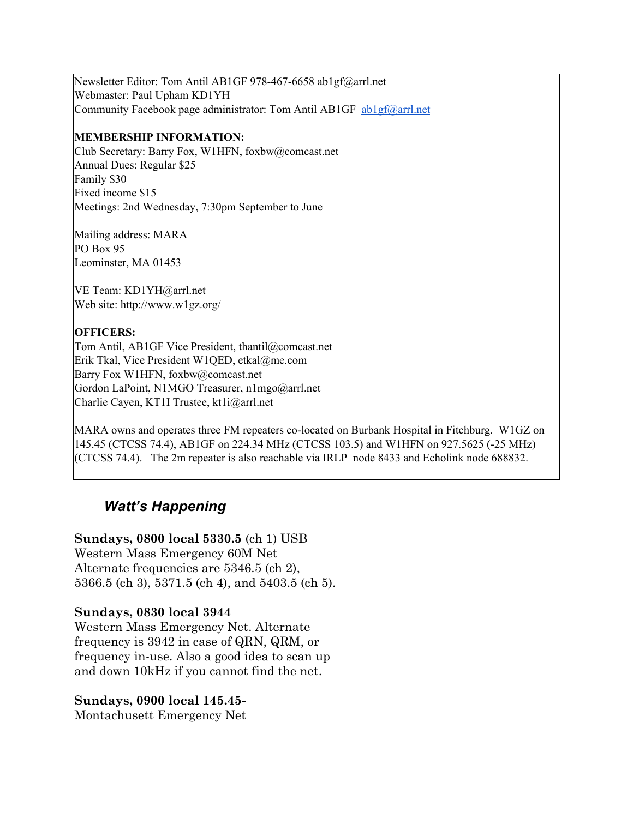Newsletter Editor: Tom Antil AB1GF 978-467-6658 ab1gf@arrl.net Webmaster: Paul Upham KD1YH Community Facebook page administrator: Tom Antil AB1GF [ab1gf@arrl.net](mailto:ab1gf@arrl.net)

#### **MEMBERSHIP INFORMATION:**

Club Secretary: Barry Fox, W1HFN, foxbw@comcast.net Annual Dues: Regular \$25 Family \$30 Fixed income \$15 Meetings: 2nd Wednesday, 7:30pm September to June

Mailing address: MARA PO Box 95 Leominster, MA 01453

VE Team: KD1YH@arrl.net Web site: http://www.w1gz.org/

#### **OFFICERS:**

Tom Antil, AB1GF Vice President, thantil@comcast.net Erik Tkal, Vice President W1QED, etkal@me.com Barry Fox W1HFN, foxbw@comcast.net Gordon LaPoint, N1MGO Treasurer, n1mgo@arrl.net Charlie Cayen, KT1I Trustee, kt1i@arrl.net

MARA owns and operates three FM repeaters co-located on Burbank Hospital in Fitchburg. W1GZ on 145.45 (CTCSS 74.4), AB1GF on 224.34 MHz (CTCSS 103.5) and W1HFN on 927.5625 (-25 MHz) (CTCSS 74.4). The 2m repeater is also reachable via IRLP node 8433 and Echolink node 688832.

## *Watt's Happening*

**Sundays, 0800 local 5330.5** (ch 1) USB Western Mass Emergency 60M Net Alternate frequencies are 5346.5 (ch 2), 5366.5 (ch 3), 5371.5 (ch 4), and 5403.5 (ch 5).

#### **Sundays, 0830 local 3944**

Western Mass Emergency Net. Alternate frequency is 3942 in case of QRN, QRM, or frequency in-use. Also a good idea to scan up and down 10kHz if you cannot find the net.

#### **Sundays, 0900 local 145.45-**

Montachusett Emergency Net